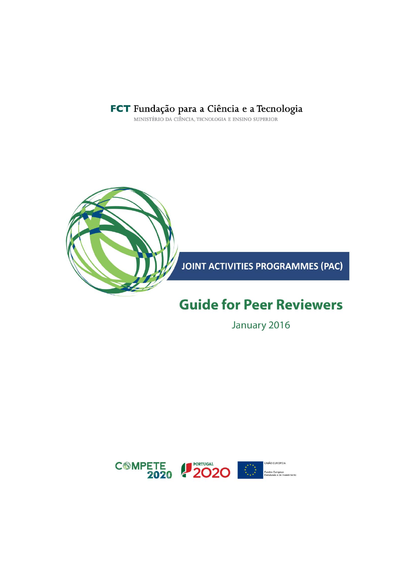

**JOINT ACTIVITIES PROGRAMMES (PAC)** 

## **Guide for Peer Reviewers**

January 2016

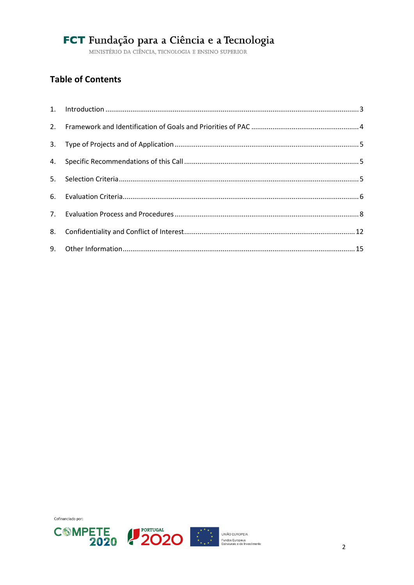### **Table of Contents**





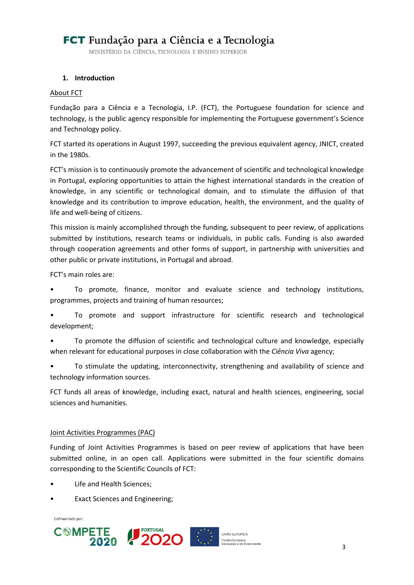MINISTÉRIO DA CIÊNCIA, TECNOLOGIA E ENSINO SUPERIOR

#### <span id="page-2-0"></span>**1. Introduction**

#### About FCT

Fundação para a Ciência e a Tecnologia, I.P. (FCT), the Portuguese foundation for science and technology, is the public agency responsible for implementing the Portuguese government's Science and Technology policy.

FCT started its operations in August 1997, succeeding the previous equivalent agency, JNICT, created in the 1980s.

FCT's mission is to continuously promote the advancement of scientific and technological knowledge in Portugal, exploring opportunities to attain the highest international standards in the creation of knowledge, in any scientific or technological domain, and to stimulate the diffusion of that knowledge and its contribution to improve education, health, the environment, and the quality of life and well-being of citizens.

This mission is mainly accomplished through the funding, subsequent to peer review, of applications submitted by institutions, research teams or individuals, in public calls. Funding is also awarded through cooperation agreements and other forms of support, in partnership with universities and other public or private institutions, in Portugal and abroad.

FCT's main roles are:

• To promote, finance, monitor and evaluate science and technology institutions, programmes, projects and training of human resources;

• To promote and support infrastructure for scientific research and technological development;

• To promote the diffusion of scientific and technological culture and knowledge, especially when relevant for educational purposes in close collaboration with the *Ciência Viva* agency;

• To stimulate the updating, interconnectivity, strengthening and availability of science and technology information sources.

FCT funds all areas of knowledge, including exact, natural and health sciences, engineering, social sciences and humanities.

#### Joint Activities Programmes (PAC)

Funding of Joint Activities Programmes is based on peer review of applications that have been submitted online, in an open call. Applications were submitted in the four scientific domains corresponding to the Scientific Councils of FCT:

- Life and Health Sciences;
- Exact Sciences and Engineering:

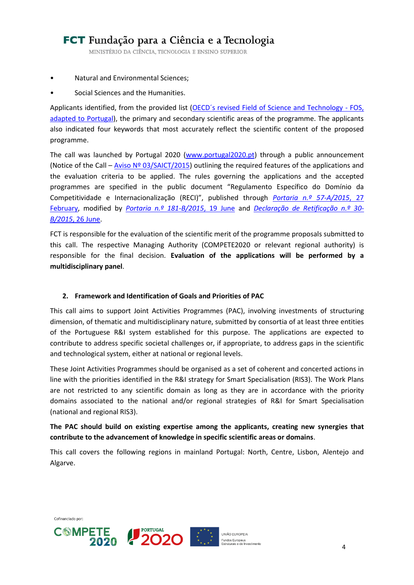MINISTÉRIO DA CIÊNCIA, TECNOLOGIA E ENSINO SUPERIOR

- Natural and Environmental Sciences;
- Social Sciences and the Humanities.

Applicants identified, from the provided list (OECD's revised Field of Science and Technology - FOS, [adapted to Portugal\)](http://www.oecd.org/science/inno/38235147.pdf), the primary and secondary scientific areas of the programme. The applicants also indicated four keywords that most accurately reflect the scientific content of the proposed programme.

The call was launched by Portugal 2020 [\(www.portugal2020.pt\)](http://www.portugal2020.pt/) through a public announcement (Notice of the Call – Aviso  $N^{\circ}$  03/SAICT/2015) outlining the required features of the applications and the evaluation criteria to be applied. The rules governing the applications and the accepted programmes are specified in the public document "Regulamento Específico do Domínio da Competitividade e Internacionalização (RECI)", published through *[Portaria n.º 57-A/2015](http://www.pofc.qren.pt/ResourcesUser/2015/Legislacao/P_57_RegulamentoEspecifico_ComeptitividadeeInternacionalizacao.pdf)*, 27 [February,](http://www.pofc.qren.pt/ResourcesUser/2015/Legislacao/P_57_RegulamentoEspecifico_ComeptitividadeeInternacionalizacao.pdf) modified by *[Portaria n.º 181-B/2015](http://www.poci-compete2020.pt/admin/images/P_181_B_2015.pdf)*, 19 June and *[Declaração de Retificação n.º 30-](http://www.poci-compete2020.pt/admin/images/Declar_Retif_30_B_2015.pdf) B/2015*[, 26 June.](http://www.poci-compete2020.pt/admin/images/Declar_Retif_30_B_2015.pdf)

FCT is responsible for the evaluation of the scientific merit of the programme proposals submitted to this call. The respective Managing Authority (COMPETE2020 or relevant regional authority) is responsible for the final decision. **Evaluation of the applications will be performed by a multidisciplinary panel**.

#### <span id="page-3-0"></span>**2. Framework and Identification of Goals and Priorities of PAC**

This call aims to support Joint Activities Programmes (PAC), involving investments of structuring dimension, of thematic and multidisciplinary nature, submitted by consortia of at least three entities of the Portuguese R&I system established for this purpose. The applications are expected to contribute to address specific societal challenges or, if appropriate, to address gaps in the scientific and technological system, either at national or regional levels.

These Joint Activities Programmes should be organised as a set of coherent and concerted actions in line with the priorities identified in the R&I strategy for Smart Specialisation (RIS3). The Work Plans are not restricted to any scientific domain as long as they are in accordance with the priority domains associated to the national and/or regional strategies of R&I for Smart Specialisation (national and regional RIS3).

#### **The PAC should build on existing expertise among the applicants, creating new synergies that contribute to the advancement of knowledge in specific scientific areas or domains**.

This call covers the following regions in mainland Portugal: North, Centre, Lisbon, Alentejo and Algarve.





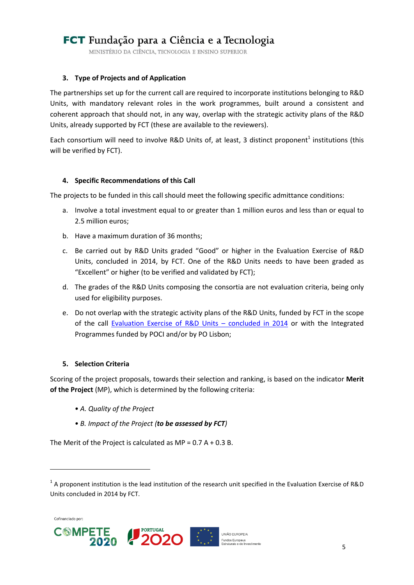MINISTÉRIO DA CIÊNCIA, TECNOLOGIA E ENSINO SUPERIOR

#### <span id="page-4-0"></span>**3. Type of Projects and of Application**

The partnerships set up for the current call are required to incorporate institutions belonging to R&D Units, with mandatory relevant roles in the work programmes, built around a consistent and coherent approach that should not, in any way, overlap with the strategic activity plans of the R&D Units, already supported by FCT (these are available to the reviewers).

Each consortium will need to involve R&D Units of, at least, 3 distinct proponent<sup>1</sup> institutions (this will be verified by FCT).

#### <span id="page-4-1"></span>**4. Specific Recommendations of this Call**

The projects to be funded in this call should meet the following specific admittance conditions:

- a. Involve a total investment equal to or greater than 1 million euros and less than or equal to 2.5 million euros;
- b. Have a maximum duration of 36 months;
- c. Be carried out by R&D Units graded "Good" or higher in the Evaluation Exercise of R&D Units, concluded in 2014, by FCT. One of the R&D Units needs to have been graded as "Excellent" or higher (to be verified and validated by FCT);
- d. The grades of the R&D Units composing the consortia are not evaluation criteria, being only used for eligibility purposes.
- <span id="page-4-3"></span>e. Do not overlap with the strategic activity plans of the R&D Units, funded by FCT in the scope of the call Evaluation Exercise [of R&D Units](http://www.fct.pt/apoios/unidades/avaliacoes/2013/docs/Fase2-Decisao-locked-250515.xlsx) – concluded in 2014 or with the Integrated Programmes funded by POCI and/or by PO Lisbon;

#### <span id="page-4-2"></span>**5. Selection Criteria**

Scoring of the project proposals, towards their selection and ranking, is based on the indicator **Merit of the Project** (MP), which is determined by the following criteria:

- *A. Quality of the Project*
- *B. Impact of the Project (to be assessed by FCT)*

The Merit of the Project is calculated as  $MP = 0.7 A + 0.3 B$ .

Cofinanciado por:

 $\overline{\phantom{a}}$ 





<sup>&</sup>lt;sup>1</sup> A proponent institution is the lead institution of the research unit specified in the Evaluation Exercise of R&D Units concluded in 2014 by FCT.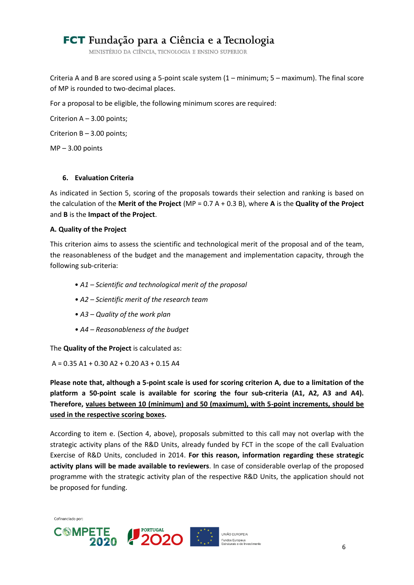MINISTÉRIO DA CIÊNCIA, TECNOLOGIA E ENSINO SUPERIOR

Criteria A and B are scored using a 5-point scale system (1 – minimum; 5 – maximum). The final score of MP is rounded to two-decimal places.

For a proposal to be eligible, the following minimum scores are required:

Criterion A – 3.00 points;

Criterion B – 3.00 points;

 $MP - 3.00$  points

#### <span id="page-5-0"></span>**6. Evaluation Criteria**

As indicated in Section [5,](#page-4-2) scoring of the proposals towards their selection and ranking is based on the calculation of the **Merit of the Project** (MP = 0.7 A + 0.3 B), where **A** is the **Quality of the Project** and **B** is the **Impact of the Project**.

#### **A. Quality of the Project**

This criterion aims to assess the scientific and technological merit of the proposal and of the team, the reasonableness of the budget and the management and implementation capacity, through the following sub-criteria:

- *A1 – Scientific and technological merit of the proposal*
- *A2 – Scientific merit of the research team*
- *A3 – Quality of the work plan*
- *A4 – Reasonableness of the budget*

The **Quality of the Project** is calculated as:

 $A = 0.35$  A1 + 0.30 A2 + 0.20 A3 + 0.15 A4

**Please note that, although a 5-point scale is used for scoring criterion A, due to a limitation of the platform a 50-point scale is available for scoring the four sub-criteria (A1, A2, A3 and A4). Therefore, values between 10 (minimum) and 50 (maximum), with 5-point increments, should be used in the respective scoring boxes.**

According to item [e.](#page-4-3) (Section [4,](#page-4-1) above), proposals submitted to this call may not overlap with the strategic activity plans of the R&D Units, already funded by FCT in the scope of the call Evaluation Exercise of R&D Units, concluded in 2014. **For this reason, information regarding these strategic activity plans will be made available to reviewers**. In case of considerable overlap of the proposed programme with the strategic activity plan of the respective R&D Units, the application should not be proposed for funding.

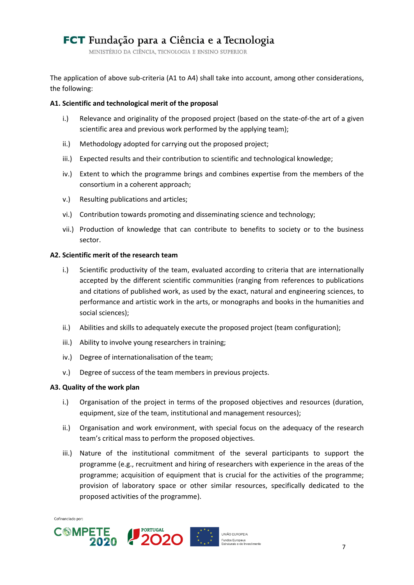MINISTÉRIO DA CIÊNCIA, TECNOLOGIA E ENSINO SUPERIOR

The application of above sub-criteria (A1 to A4) shall take into account, among other considerations, the following:

#### **A1. Scientific and technological merit of the proposal**

- i.) Relevance and originality of the proposed project (based on the state-of-the art of a given scientific area and previous work performed by the applying team);
- ii.) Methodology adopted for carrying out the proposed project;
- iii.) Expected results and their contribution to scientific and technological knowledge;
- iv.) Extent to which the programme brings and combines expertise from the members of the consortium in a coherent approach;
- v.) Resulting publications and articles;
- vi.) Contribution towards promoting and disseminating science and technology;
- vii.) Production of knowledge that can contribute to benefits to society or to the business sector.

#### **A2. Scientific merit of the research team**

- i.) Scientific productivity of the team, evaluated according to criteria that are internationally accepted by the different scientific communities (ranging from references to publications and citations of published work, as used by the exact, natural and engineering sciences, to performance and artistic work in the arts, or monographs and books in the humanities and social sciences);
- ii.) Abilities and skills to adequately execute the proposed project (team configuration);
- iii.) Ability to involve young researchers in training;
- iv.) Degree of internationalisation of the team;
- v.) Degree of success of the team members in previous projects.

#### **A3. Quality of the work plan**

- i.) Organisation of the project in terms of the proposed objectives and resources (duration, equipment, size of the team, institutional and management resources);
- ii.) Organisation and work environment, with special focus on the adequacy of the research team's critical mass to perform the proposed objectives.
- iii.) Nature of the institutional commitment of the several participants to support the programme (e.g., recruitment and hiring of researchers with experience in the areas of the programme; acquisition of equipment that is crucial for the activities of the programme; provision of laboratory space or other similar resources, specifically dedicated to the proposed activities of the programme).

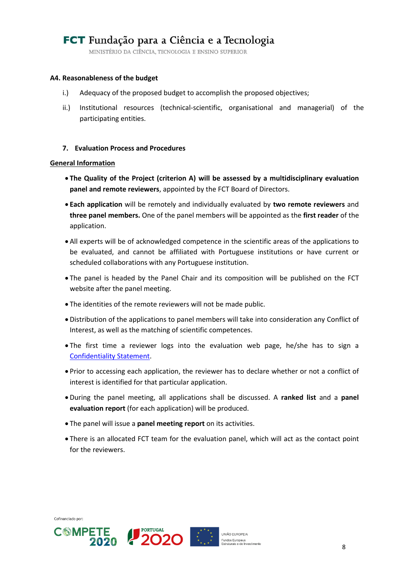MINISTÉRIO DA CIÊNCIA, TECNOLOGIA E ENSINO SUPERIOR

#### **A4. Reasonableness of the budget**

- i.) Adequacy of the proposed budget to accomplish the proposed objectives;
- ii.) Institutional resources (technical-scientific, organisational and managerial) of the participating entities.

#### <span id="page-7-0"></span>**7. Evaluation Process and Procedures**

#### **General Information**

- **The Quality of the Project (criterion A) will be assessed by a multidisciplinary evaluation panel and remote reviewers**, appointed by the FCT Board of Directors.
- **Each application** will be remotely and individually evaluated by **two remote reviewers** and **three panel members.** One of the panel members will be appointed as the **first reader** of the application.
- All experts will be of acknowledged competence in the scientific areas of the applications to be evaluated, and cannot be affiliated with Portuguese institutions or have current or scheduled collaborations with any Portuguese institution.
- The panel is headed by the Panel Chair and its composition will be published on the FCT website after the panel meeting.
- The identities of the remote reviewers will not be made public.
- Distribution of the applications to panel members will take into consideration any Conflict of Interest, as well as the matching of scientific competences.
- The first time a reviewer logs into the evaluation web page, he/she has to sign a [Confidentiality Statement.](#page-11-1)
- Prior to accessing each application, the reviewer has to declare whether or not a conflict of interest is identified for that particular application.
- During the panel meeting, all applications shall be discussed. A **ranked list** and a **panel evaluation report** (for each application) will be produced.
- The panel will issue a **panel meeting report** on its activities.
- There is an allocated FCT team for the evaluation panel, which will act as the contact point for the reviewers.





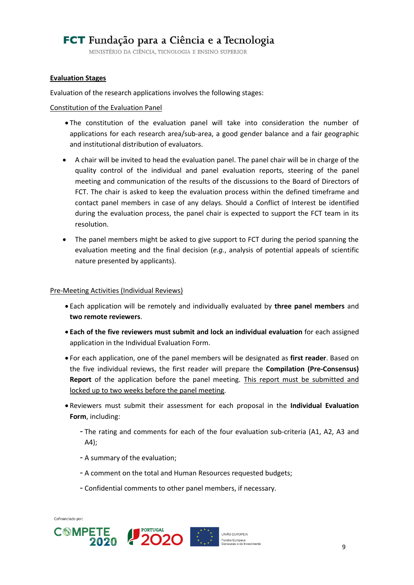MINISTÉRIO DA CIÊNCIA, TECNOLOGIA E ENSINO SUPERIOR

#### **Evaluation Stages**

Evaluation of the research applications involves the following stages:

#### Constitution of the Evaluation Panel

- The constitution of the evaluation panel will take into consideration the number of applications for each research area/sub-area, a good gender balance and a fair geographic and institutional distribution of evaluators.
- A chair will be invited to head the evaluation panel. The panel chair will be in charge of the quality control of the individual and panel evaluation reports, steering of the panel meeting and communication of the results of the discussions to the Board of Directors of FCT. The chair is asked to keep the evaluation process within the defined timeframe and contact panel members in case of any delays. Should a Conflict of Interest be identified during the evaluation process, the panel chair is expected to support the FCT team in its resolution.
- The panel members might be asked to give support to FCT during the period spanning the evaluation meeting and the final decision (*e.g.*, analysis of potential appeals of scientific nature presented by applicants).

#### Pre-Meeting Activities (Individual Reviews)

- Each application will be remotely and individually evaluated by **three panel members** and **two remote reviewers**.
- **Each of the five reviewers must submit and lock an individual evaluation** for each assigned application in the Individual Evaluation Form.
- For each application, one of the panel members will be designated as **first reader**. Based on the five individual reviews, the first reader will prepare the **Compilation (Pre-Consensus) Report** of the application before the panel meeting. This report must be submitted and locked up to two weeks before the panel meeting.
- Reviewers must submit their assessment for each proposal in the **Individual Evaluation Form**, including:
	- The rating and comments for each of the four evaluation sub-criteria (A1, A2, A3 and A4);
	- A summary of the evaluation;
	- A comment on the total and Human Resources requested budgets;
	- Confidential comments to other panel members, if necessary.







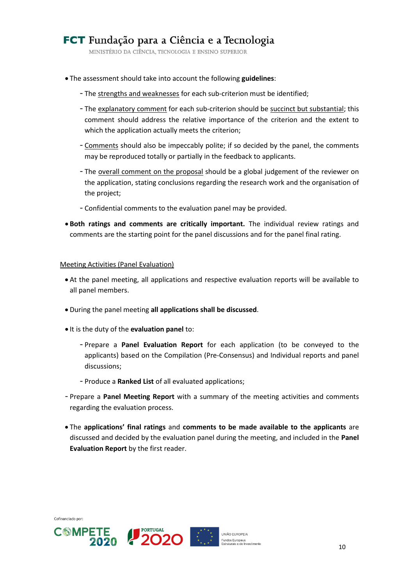MINISTÉRIO DA CIÊNCIA, TECNOLOGIA E ENSINO SUPERIOR

- The assessment should take into account the following **guidelines**:
	- The strengths and weaknesses for each sub-criterion must be identified;
	- The explanatory comment for each sub-criterion should be succinct but substantial; this comment should address the relative importance of the criterion and the extent to which the application actually meets the criterion;
	- Comments should also be impeccably polite; if so decided by the panel, the comments may be reproduced totally or partially in the feedback to applicants.
	- The overall comment on the proposal should be a global judgement of the reviewer on the application, stating conclusions regarding the research work and the organisation of the project;
	- Confidential comments to the evaluation panel may be provided.
- **Both ratings and comments are critically important.** The individual review ratings and comments are the starting point for the panel discussions and for the panel final rating.

#### Meeting Activities (Panel Evaluation)

- At the panel meeting, all applications and respective evaluation reports will be available to all panel members.
- During the panel meeting **all applications shall be discussed**.
- $\bullet$  It is the duty of the **evaluation panel** to:
	- Prepare a **Panel Evaluation Report** for each application (to be conveyed to the applicants) based on the Compilation (Pre-Consensus) and Individual reports and panel discussions;
	- Produce a **Ranked List** of all evaluated applications;
- Prepare a **Panel Meeting Report** with a summary of the meeting activities and comments regarding the evaluation process.
- The **applications' final ratings** and **comments to be made available to the applicants** are discussed and decided by the evaluation panel during the meeting, and included in the **Panel Evaluation Report** by the first reader.







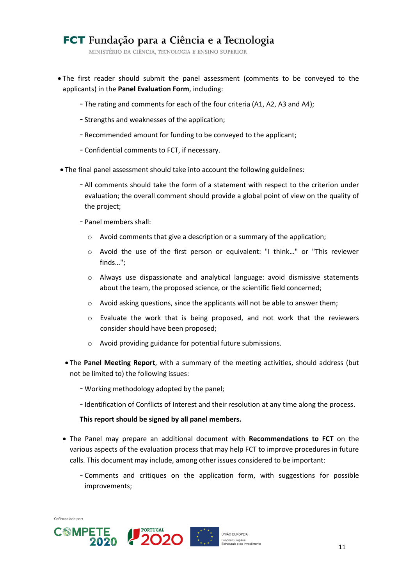MINISTÉRIO DA CIÊNCIA, TECNOLOGIA E ENSINO SUPERIOR

- The first reader should submit the panel assessment (comments to be conveyed to the applicants) in the **Panel Evaluation Form**, including:
	- The rating and comments for each of the four criteria (A1, A2, A3 and A4);
	- Strengths and weaknesses of the application;
	- Recommended amount for funding to be conveyed to the applicant;
	- Confidential comments to FCT, if necessary.
- The final panel assessment should take into account the following guidelines:
	- All comments should take the form of a statement with respect to the criterion under evaluation; the overall comment should provide a global point of view on the quality of the project;
	- Panel members shall:
		- o Avoid comments that give a description or a summary of the application;
		- o Avoid the use of the first person or equivalent: "I think…" or "This reviewer finds…";
		- o Always use dispassionate and analytical language: avoid dismissive statements about the team, the proposed science, or the scientific field concerned;
		- o Avoid asking questions, since the applicants will not be able to answer them;
		- o Evaluate the work that is being proposed, and not work that the reviewers consider should have been proposed;
		- o Avoid providing guidance for potential future submissions.
	- The **Panel Meeting Report**, with a summary of the meeting activities, should address (but not be limited to) the following issues:
		- Working methodology adopted by the panel;
		- Identification of Conflicts of Interest and their resolution at any time along the process.

#### **This report should be signed by all panel members.**

- The Panel may prepare an additional document with **Recommendations to FCT** on the various aspects of the evaluation process that may help FCT to improve procedures in future calls. This document may include, among other issues considered to be important:
	- Comments and critiques on the application form, with suggestions for possible improvements;



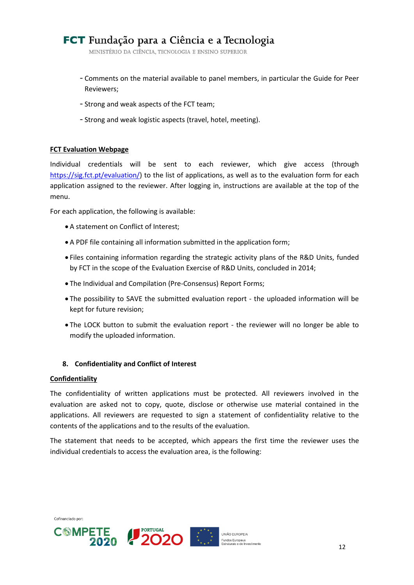MINISTÉRIO DA CIÊNCIA, TECNOLOGIA E ENSINO SUPERIOR

- Comments on the material available to panel members, in particular the Guide for Peer Reviewers;
- Strong and weak aspects of the FCT team;
- Strong and weak logistic aspects (travel, hotel, meeting).

#### **FCT Evaluation Webpage**

Individual credentials will be sent to each reviewer, which give access (through [https://sig.fct.pt/evaluation/\)](https://sig.fct.pt/evaluation/) to the list of applications, as well as to the evaluation form for each application assigned to the reviewer. After logging in, instructions are available at the top of the menu.

For each application, the following is available:

- A statement on Conflict of Interest;
- A PDF file containing all information submitted in the application form;
- Files containing information regarding the strategic activity plans of the R&D Units, funded by FCT in the scope of the Evaluation Exercise of R&D Units, concluded in 2014;
- The Individual and Compilation (Pre-Consensus) Report Forms;
- The possibility to SAVE the submitted evaluation report the uploaded information will be kept for future revision;
- The LOCK button to submit the evaluation report the reviewer will no longer be able to modify the uploaded information.

#### <span id="page-11-0"></span>**8. Confidentiality and Conflict of Interest**

#### <span id="page-11-1"></span>**Confidentiality**

Cofinanciado por:

The confidentiality of written applications must be protected. All reviewers involved in the evaluation are asked not to copy, quote, disclose or otherwise use material contained in the applications. All reviewers are requested to sign a statement of confidentiality relative to the contents of the applications and to the results of the evaluation.

The statement that needs to be accepted, which appears the first time the reviewer uses the individual credentials to access the evaluation area, is the following:

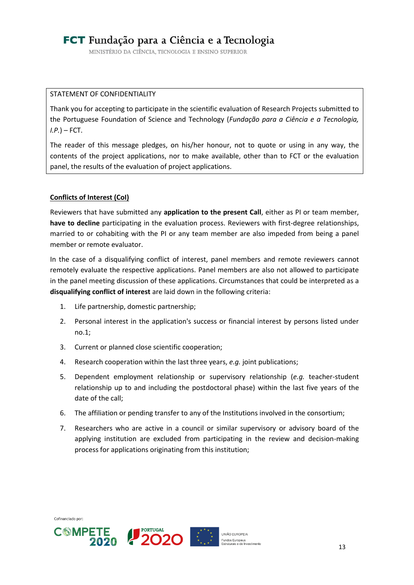MINISTÉRIO DA CIÊNCIA, TECNOLOGIA E ENSINO SUPERIOR

#### STATEMENT OF CONFIDENTIALITY

Thank you for accepting to participate in the scientific evaluation of Research Projects submitted to the Portuguese Foundation of Science and Technology (*Fundação para a Ciência e a Tecnologia, I.P.*) – FCT.

The reader of this message pledges, on his/her honour, not to quote or using in any way, the contents of the project applications, nor to make available, other than to FCT or the evaluation panel, the results of the evaluation of project applications.

#### **Conflicts of Interest (CoI)**

Reviewers that have submitted any **application to the present Call**, either as PI or team member, **have to decline** participating in the evaluation process. Reviewers with first-degree relationships, married to or cohabiting with the PI or any team member are also impeded from being a panel member or remote evaluator.

In the case of a disqualifying conflict of interest, panel members and remote reviewers cannot remotely evaluate the respective applications. Panel members are also not allowed to participate in the panel meeting discussion of these applications. Circumstances that could be interpreted as a **disqualifying conflict of interest** are laid down in the following criteria:

- 1. Life partnership, domestic partnership;
- 2. Personal interest in the application's success or financial interest by persons listed under no.1;
- 3. Current or planned close scientific cooperation;
- 4. Research cooperation within the last three years, *e.g.* joint publications;
- 5. Dependent employment relationship or supervisory relationship (*e.g.* teacher-student relationship up to and including the postdoctoral phase) within the last five years of the date of the call;
- 6. The affiliation or pending transfer to any of the Institutions involved in the consortium;
- 7. Researchers who are active in a council or similar supervisory or advisory board of the applying institution are excluded from participating in the review and decision-making process for applications originating from this institution;

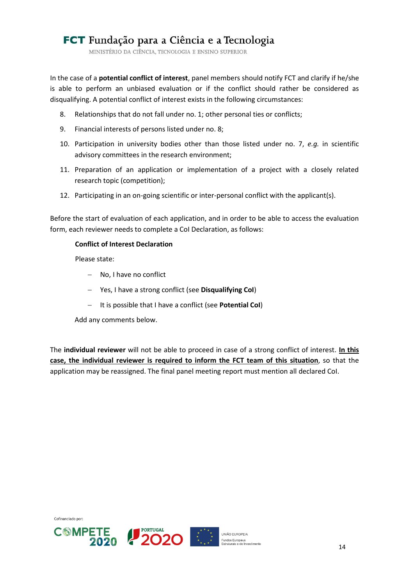MINISTÉRIO DA CIÊNCIA, TECNOLOGIA E ENSINO SUPERIOR

In the case of a **potential conflict of interest**, panel members should notify FCT and clarify if he/she is able to perform an unbiased evaluation or if the conflict should rather be considered as disqualifying. A potential conflict of interest exists in the following circumstances:

- 8. Relationships that do not fall under no. 1; other personal ties or conflicts;
- 9. Financial interests of persons listed under no. 8;
- 10. Participation in university bodies other than those listed under no. 7, *e.g.* in scientific advisory committees in the research environment;
- 11. Preparation of an application or implementation of a project with a closely related research topic (competition);
- 12. Participating in an on-going scientific or inter-personal conflict with the applicant(s).

Before the start of evaluation of each application, and in order to be able to access the evaluation form, each reviewer needs to complete a CoI Declaration, as follows:

#### **Conflict of Interest Declaration**

Please state:

- No, I have no conflict
- Yes, I have a strong conflict (see **Disqualifying CoI**)
- It is possible that I have a conflict (see **Potential CoI**)

Add any comments below.

<span id="page-13-0"></span>The **individual reviewer** will not be able to proceed in case of a strong conflict of interest. **In this case, the individual reviewer is required to inform the FCT team of this situation**, so that the application may be reassigned. The final panel meeting report must mention all declared CoI.